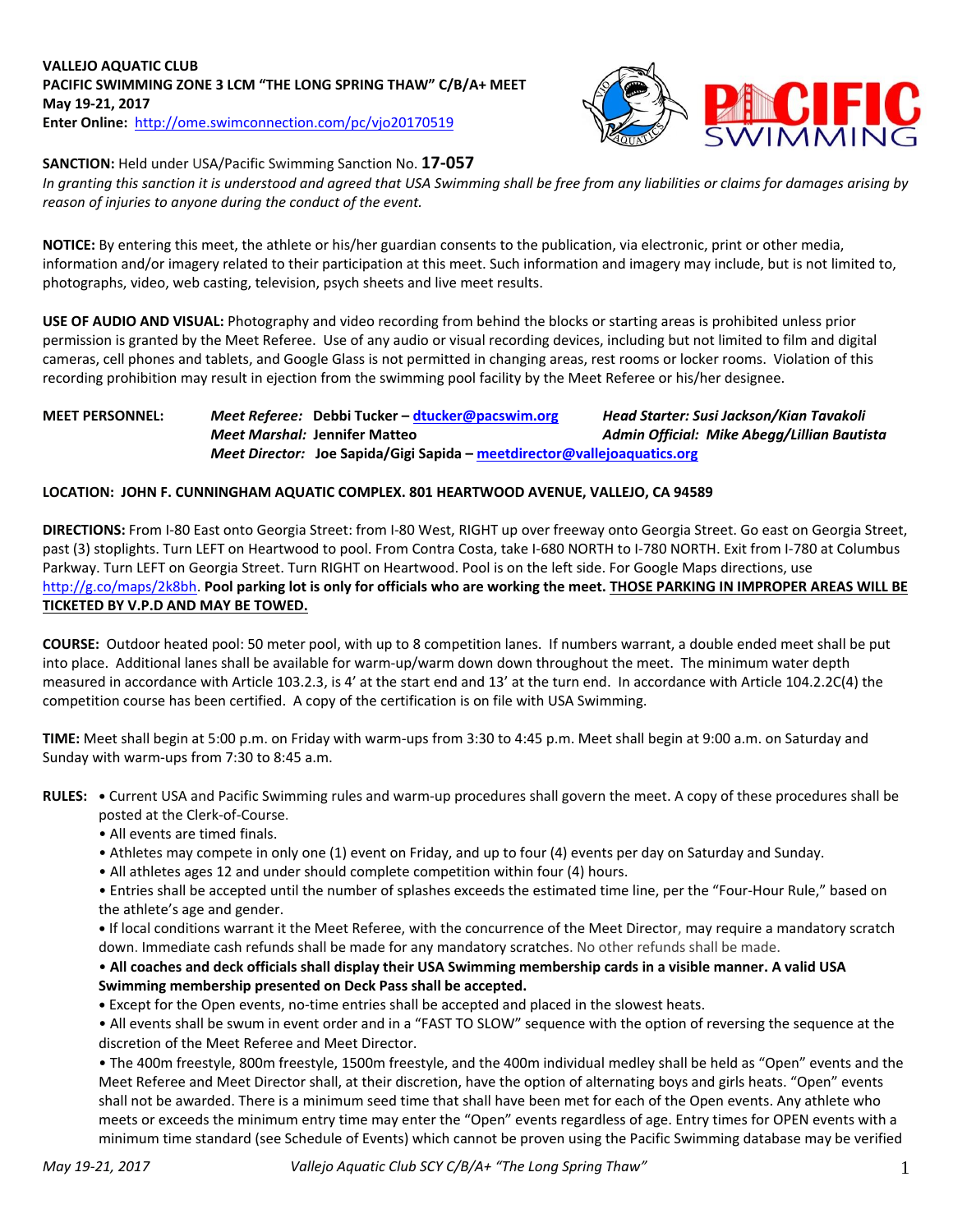

## **SANCTION:** Held under USA/Pacific Swimming Sanction No. **17-057**

*In granting this sanction it is understood and agreed that USA Swimming shall be free from any liabilities or claims for damages arising by reason of injuries to anyone during the conduct of the event.*

**NOTICE:** By entering this meet, the athlete or his/her guardian consents to the publication, via electronic, print or other media, information and/or imagery related to their participation at this meet. Such information and imagery may include, but is not limited to, photographs, video, web casting, television, psych sheets and live meet results.

**USE OF AUDIO AND VISUAL:** Photography and video recording from behind the blocks or starting areas is prohibited unless prior permission is granted by the Meet Referee. Use of any audio or visual recording devices, including but not limited to film and digital cameras, cell phones and tablets, and Google Glass is not permitted in changing areas, rest rooms or locker rooms. Violation of this recording prohibition may result in ejection from the swimming pool facility by the Meet Referee or his/her designee.

## **MEET PERSONNEL:** *Meet Referee:* **Debbi Tucker – [dtucker@pacswim.org](mailto:dtucker@pacswim.org)** *Head Starter: Susi Jackson/Kian Tavakoli Meet Marshal:* **Jennifer Matteo** *Admin Official:**Mike Abegg/Lillian Bautista Meet Director:* **Joe Sapida/Gigi Sapida – [meetdirector@vallejoaquatics.org](mailto:meetdirector@vallejoaquatics.org)**

#### **LOCATION: JOHN F. CUNNINGHAM AQUATIC COMPLEX. 801 HEARTWOOD AVENUE, VALLEJO, CA 94589**

**DIRECTIONS:** From I-80 East onto Georgia Street: from I-80 West, RIGHT up over freeway onto Georgia Street. Go east on Georgia Street, past (3) stoplights. Turn LEFT on Heartwood to pool. From Contra Costa, take I-680 NORTH to I-780 NORTH. Exit from I-780 at Columbus Parkway. Turn LEFT on Georgia Street. Turn RIGHT on Heartwood. Pool is on the left side. For Google Maps directions, use [http://g.co/maps/2k8bh.](http://g.co/maps/2k8bh) **Pool parking lot is only for officials who are working the meet. THOSE PARKING IN IMPROPER AREAS WILL BE TICKETED BY V.P.D AND MAY BE TOWED.** 

**COURSE:** Outdoor heated pool: 50 meter pool, with up to 8 competition lanes. If numbers warrant, a double ended meet shall be put into place. Additional lanes shall be available for warm-up/warm down down throughout the meet. The minimum water depth measured in accordance with Article 103.2.3, is 4' at the start end and 13' at the turn end. In accordance with Article 104.2.2C(4) the competition course has been certified. A copy of the certification is on file with USA Swimming.

**TIME:** Meet shall begin at 5:00 p.m. on Friday with warm-ups from 3:30 to 4:45 p.m. Meet shall begin at 9:00 a.m. on Saturday and Sunday with warm-ups from 7:30 to 8:45 a.m.

**RULES: •** Current USA and Pacific Swimming rules and warm-up procedures shall govern the meet. A copy of these procedures shall be posted at the Clerk-of-Course.

- All events are timed finals.
- Athletes may compete in only one (1) event on Friday, and up to four (4) events per day on Saturday and Sunday.
- All athletes ages 12 and under should complete competition within four (4) hours.

• Entries shall be accepted until the number of splashes exceeds the estimated time line, per the "Four-Hour Rule," based on the athlete's age and gender.

**•** If local conditions warrant it the Meet Referee, with the concurrence of the Meet Director, may require a mandatory scratch down. Immediate cash refunds shall be made for any mandatory scratches. No other refunds shall be made.

• **All coaches and deck officials shall display their USA Swimming membership cards in a visible manner. A valid USA Swimming membership presented on Deck Pass shall be accepted.**

**•** Except for the Open events, no-time entries shall be accepted and placed in the slowest heats.

• All events shall be swum in event order and in a "FAST TO SLOW" sequence with the option of reversing the sequence at the discretion of the Meet Referee and Meet Director.

• The 400m freestyle, 800m freestyle, 1500m freestyle, and the 400m individual medley shall be held as "Open" events and the Meet Referee and Meet Director shall, at their discretion, have the option of alternating boys and girls heats. "Open" events shall not be awarded. There is a minimum seed time that shall have been met for each of the Open events. Any athlete who meets or exceeds the minimum entry time may enter the "Open" events regardless of age. Entry times for OPEN events with a minimum time standard (see Schedule of Events) which cannot be proven using the Pacific Swimming database may be verified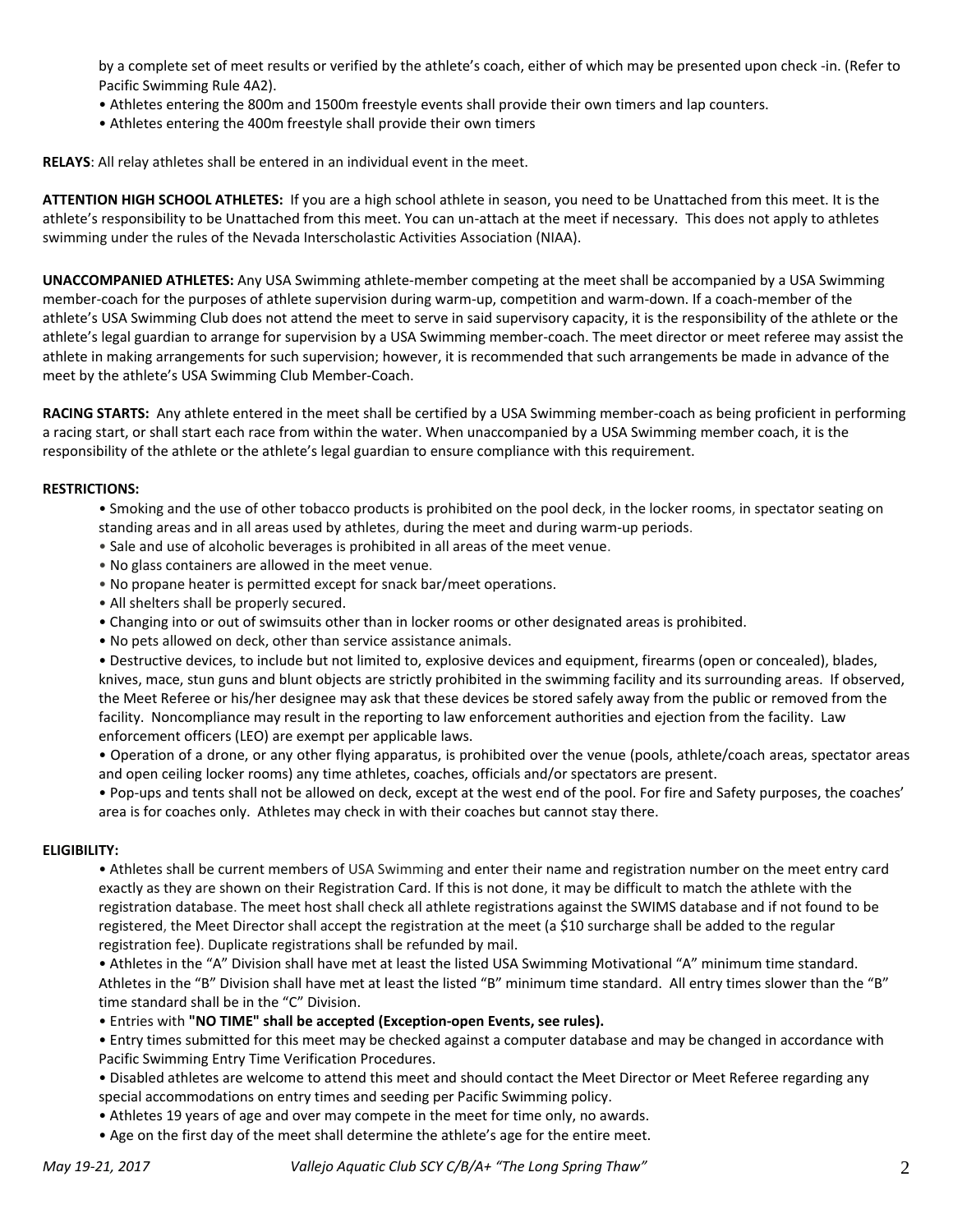by a complete set of meet results or verified by the athlete's coach, either of which may be presented upon check -in. (Refer to Pacific Swimming Rule 4A2).

- Athletes entering the 800m and 1500m freestyle events shall provide their own timers and lap counters.
- Athletes entering the 400m freestyle shall provide their own timers

**RELAYS**: All relay athletes shall be entered in an individual event in the meet.

**ATTENTION HIGH SCHOOL ATHLETES:** If you are a high school athlete in season, you need to be Unattached from this meet. It is the athlete's responsibility to be Unattached from this meet. You can un-attach at the meet if necessary. This does not apply to athletes swimming under the rules of the Nevada Interscholastic Activities Association (NIAA).

**UNACCOMPANIED ATHLETES:** Any USA Swimming athlete-member competing at the meet shall be accompanied by a USA Swimming member-coach for the purposes of athlete supervision during warm-up, competition and warm-down. If a coach-member of the athlete's USA Swimming Club does not attend the meet to serve in said supervisory capacity, it is the responsibility of the athlete or the athlete's legal guardian to arrange for supervision by a USA Swimming member-coach. The meet director or meet referee may assist the athlete in making arrangements for such supervision; however, it is recommended that such arrangements be made in advance of the meet by the athlete's USA Swimming Club Member-Coach.

**RACING STARTS:** Any athlete entered in the meet shall be certified by a USA Swimming member-coach as being proficient in performing a racing start, or shall start each race from within the water. When unaccompanied by a USA Swimming member coach, it is the responsibility of the athlete or the athlete's legal guardian to ensure compliance with this requirement.

#### **RESTRICTIONS:**

- Smoking and the use of other tobacco products is prohibited on the pool deck, in the locker rooms, in spectator seating on standing areas and in all areas used by athletes, during the meet and during warm-up periods.
- Sale and use of alcoholic beverages is prohibited in all areas of the meet venue.
- No glass containers are allowed in the meet venue.
- No propane heater is permitted except for snack bar/meet operations.
- All shelters shall be properly secured.
- Changing into or out of swimsuits other than in locker rooms or other designated areas is prohibited.
- No pets allowed on deck, other than service assistance animals.

• Destructive devices, to include but not limited to, explosive devices and equipment, firearms (open or concealed), blades, knives, mace, stun guns and blunt objects are strictly prohibited in the swimming facility and its surrounding areas. If observed, the Meet Referee or his/her designee may ask that these devices be stored safely away from the public or removed from the facility. Noncompliance may result in the reporting to law enforcement authorities and ejection from the facility. Law enforcement officers (LEO) are exempt per applicable laws.

• Operation of a drone, or any other flying apparatus, is prohibited over the venue (pools, athlete/coach areas, spectator areas and open ceiling locker rooms) any time athletes, coaches, officials and/or spectators are present.

• Pop-ups and tents shall not be allowed on deck, except at the west end of the pool. For fire and Safety purposes, the coaches' area is for coaches only. Athletes may check in with their coaches but cannot stay there.

#### **ELIGIBILITY:**

• Athletes shall be current members of USA Swimming and enter their name and registration number on the meet entry card exactly as they are shown on their Registration Card. If this is not done, it may be difficult to match the athlete with the registration database. The meet host shall check all athlete registrations against the SWIMS database and if not found to be registered, the Meet Director shall accept the registration at the meet (a \$10 surcharge shall be added to the regular registration fee). Duplicate registrations shall be refunded by mail.

• Athletes in the "A" Division shall have met at least the listed USA Swimming Motivational "A" minimum time standard. Athletes in the "B" Division shall have met at least the listed "B" minimum time standard. All entry times slower than the "B" time standard shall be in the "C" Division.

• Entries with **"NO TIME" shall be accepted (Exception-open Events, see rules).** 

• Entry times submitted for this meet may be checked against a computer database and may be changed in accordance with Pacific Swimming Entry Time Verification Procedures.

- Disabled athletes are welcome to attend this meet and should contact the Meet Director or Meet Referee regarding any special accommodations on entry times and seeding per Pacific Swimming policy.
- Athletes 19 years of age and over may compete in the meet for time only, no awards.
- Age on the first day of the meet shall determine the athlete's age for the entire meet.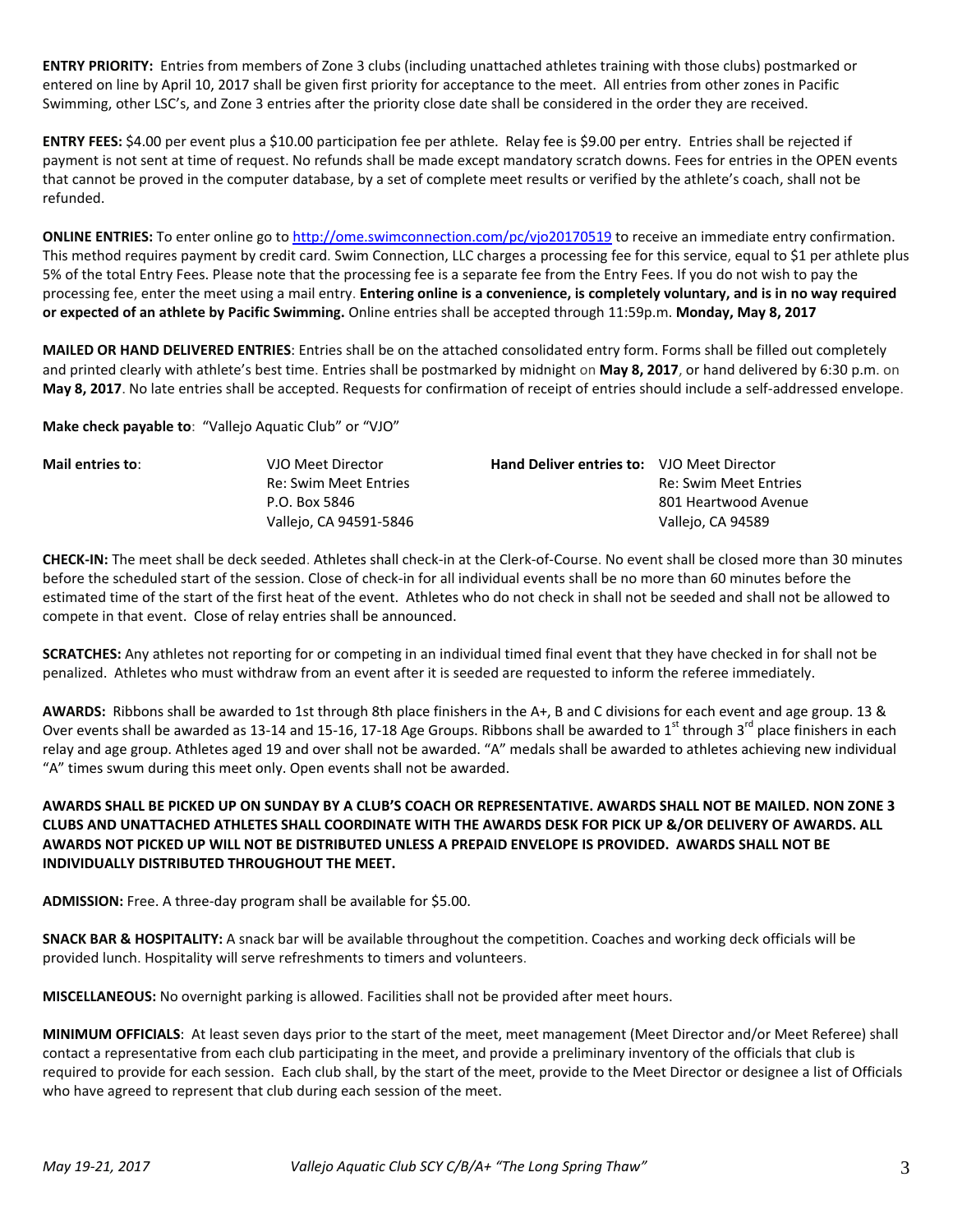**ENTRY PRIORITY:** Entries from members of Zone 3 clubs (including unattached athletes training with those clubs) postmarked or entered on line by April 10, 2017 shall be given first priority for acceptance to the meet. All entries from other zones in Pacific Swimming, other LSC's, and Zone 3 entries after the priority close date shall be considered in the order they are received.

**ENTRY FEES:** \$4.00 per event plus a \$10.00 participation fee per athlete. Relay fee is \$9.00 per entry. Entries shall be rejected if payment is not sent at time of request. No refunds shall be made except mandatory scratch downs. Fees for entries in the OPEN events that cannot be proved in the computer database, by a set of complete meet results or verified by the athlete's coach, shall not be refunded.

**ONLINE ENTRIES:** To enter online go to <http://ome.swimconnection.com/pc/vjo20170519> to receive an immediate entry confirmation. This method requires payment by credit card. Swim Connection, LLC charges a processing fee for this service, equal to \$1 per athlete plus 5% of the total Entry Fees. Please note that the processing fee is a separate fee from the Entry Fees. If you do not wish to pay the processing fee, enter the meet using a mail entry. **Entering online is a convenience, is completely voluntary, and is in no way required or expected of an athlete by Pacific Swimming.** Online entries shall be accepted through 11:59p.m. **Monday, May 8, 2017**

**MAILED OR HAND DELIVERED ENTRIES**: Entries shall be on the attached consolidated entry form. Forms shall be filled out completely and printed clearly with athlete's best time. Entries shall be postmarked by midnight on **May 8, 2017**, or hand delivered by 6:30 p.m. on **May 8, 2017**. No late entries shall be accepted. Requests for confirmation of receipt of entries should include a self-addressed envelope.

**Make check payable to**: "Vallejo Aquatic Club" or "VJO"

**Mail entries to**: VJO Meet Director **Hand Deliver entries to:** VJO Meet Director Re: Swim Meet Entries The Communication of the Re: Swim Meet Entries P.O. Box 5846 801 Heartwood Avenue Vallejo, CA 94591-5846 Vallejo, CA 94589

**CHECK-IN:** The meet shall be deck seeded. Athletes shall check-in at the Clerk-of-Course. No event shall be closed more than 30 minutes before the scheduled start of the session. Close of check-in for all individual events shall be no more than 60 minutes before the estimated time of the start of the first heat of the event. Athletes who do not check in shall not be seeded and shall not be allowed to compete in that event. Close of relay entries shall be announced.

**SCRATCHES:** Any athletes not reporting for or competing in an individual timed final event that they have checked in for shall not be penalized. Athletes who must withdraw from an event after it is seeded are requested to inform the referee immediately.

**AWARDS:** Ribbons shall be awarded to 1st through 8th place finishers in the A+, B and C divisions for each event and age group. 13 & Over events shall be awarded as 13-14 and 15-16, 17-18 Age Groups. Ribbons shall be awarded to 1<sup>st</sup> through 3<sup>rd</sup> place finishers in each relay and age group. Athletes aged 19 and over shall not be awarded. "A" medals shall be awarded to athletes achieving new individual "A" times swum during this meet only. Open events shall not be awarded.

## **AWARDS SHALL BE PICKED UP ON SUNDAY BY A CLUB'S COACH OR REPRESENTATIVE. AWARDS SHALL NOT BE MAILED. NON ZONE 3 CLUBS AND UNATTACHED ATHLETES SHALL COORDINATE WITH THE AWARDS DESK FOR PICK UP &/OR DELIVERY OF AWARDS. ALL AWARDS NOT PICKED UP WILL NOT BE DISTRIBUTED UNLESS A PREPAID ENVELOPE IS PROVIDED. AWARDS SHALL NOT BE INDIVIDUALLY DISTRIBUTED THROUGHOUT THE MEET.**

**ADMISSION:** Free. A three-day program shall be available for \$5.00.

**SNACK BAR & HOSPITALITY:** A snack bar will be available throughout the competition. Coaches and working deck officials will be provided lunch. Hospitality will serve refreshments to timers and volunteers.

**MISCELLANEOUS:** No overnight parking is allowed. Facilities shall not be provided after meet hours.

**MINIMUM OFFICIALS**: At least seven days prior to the start of the meet, meet management (Meet Director and/or Meet Referee) shall contact a representative from each club participating in the meet, and provide a preliminary inventory of the officials that club is required to provide for each session. Each club shall, by the start of the meet, provide to the Meet Director or designee a list of Officials who have agreed to represent that club during each session of the meet.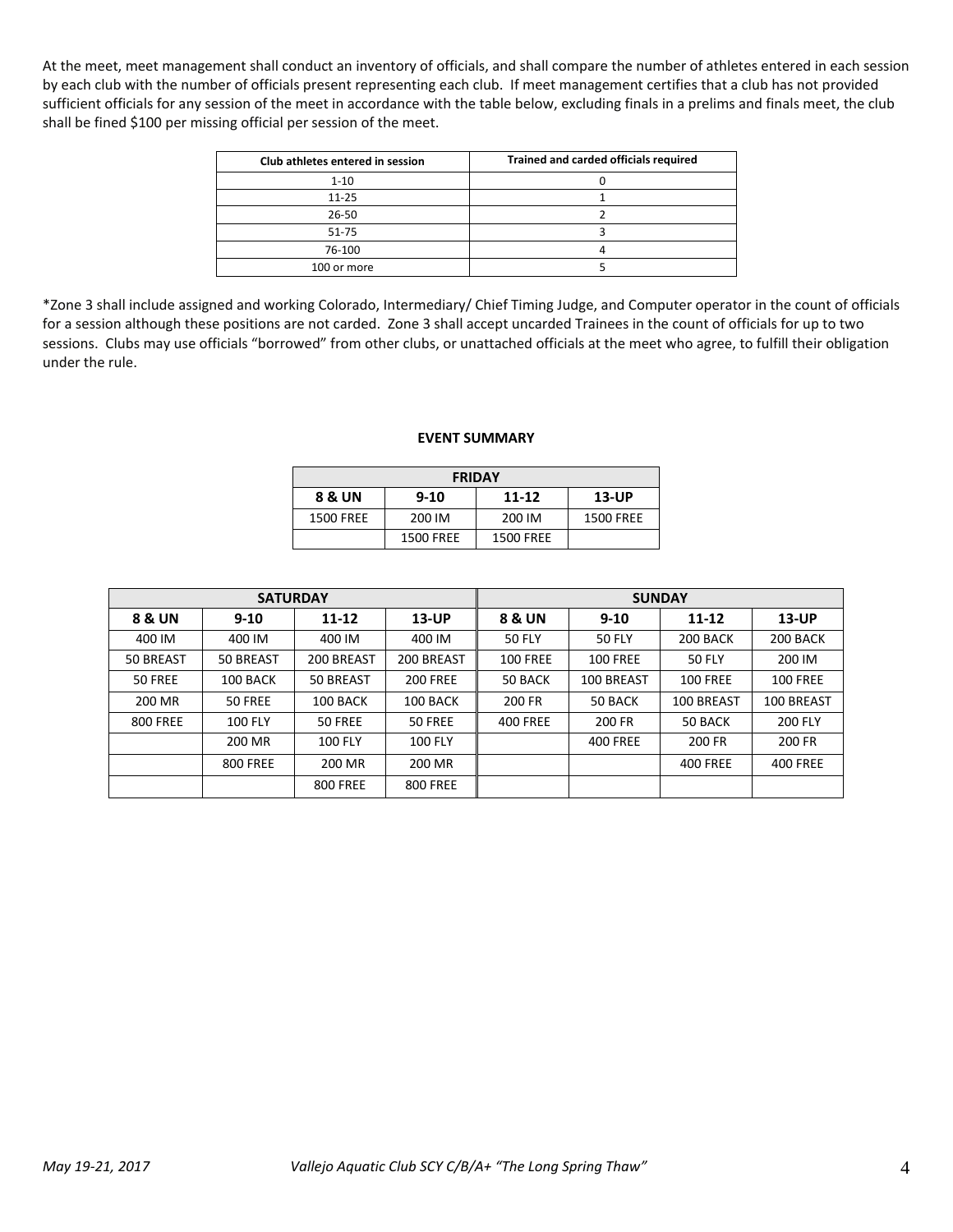At the meet, meet management shall conduct an inventory of officials, and shall compare the number of athletes entered in each session by each club with the number of officials present representing each club. If meet management certifies that a club has not provided sufficient officials for any session of the meet in accordance with the table below, excluding finals in a prelims and finals meet, the club shall be fined \$100 per missing official per session of the meet.

| Club athletes entered in session | Trained and carded officials required |
|----------------------------------|---------------------------------------|
| $1 - 10$                         |                                       |
| $11 - 25$                        |                                       |
| $26 - 50$                        |                                       |
| $51 - 75$                        |                                       |
| 76-100                           |                                       |
| 100 or more                      |                                       |

\*Zone 3 shall include assigned and working Colorado, Intermediary/ Chief Timing Judge, and Computer operator in the count of officials for a session although these positions are not carded. Zone 3 shall accept uncarded Trainees in the count of officials for up to two sessions. Clubs may use officials "borrowed" from other clubs, or unattached officials at the meet who agree, to fulfill their obligation under the rule.

#### **EVENT SUMMARY**

| <b>FRIDAY</b> |                  |                  |                  |  |  |  |  |  |  |
|---------------|------------------|------------------|------------------|--|--|--|--|--|--|
| 8 & UN        | $9 - 10$         | $11 - 12$        | $13$ -UP         |  |  |  |  |  |  |
| 1500 FREE     | 200 IM           | 200 IM           | <b>1500 FREE</b> |  |  |  |  |  |  |
|               | <b>1500 FREE</b> | <b>1500 FREE</b> |                  |  |  |  |  |  |  |

|                   | <b>SATURDAY</b> |                 |                 | <b>SUNDAY</b>                      |                 |                 |                 |  |  |  |
|-------------------|-----------------|-----------------|-----------------|------------------------------------|-----------------|-----------------|-----------------|--|--|--|
| <b>8 &amp; UN</b> | $9 - 10$        | 11-12           | 13-UP           | <b>8 &amp; UN</b>                  | $9 - 10$        | 11-12           | $13$ -UP        |  |  |  |
| 400 IM            | 400 IM          | 400 IM          | 400 IM          | <b>50 FLY</b>                      | <b>50 FLY</b>   | 200 BACK        | 200 BACK        |  |  |  |
| 50 BREAST         | 50 BREAST       | 200 BREAST      | 200 BREAST      | <b>100 FREE</b><br><b>100 FREE</b> |                 | <b>50 FLY</b>   | 200 IM          |  |  |  |
| 50 FREE           | 100 BACK        | 50 BREAST       | <b>200 FREE</b> | 50 BACK                            | 100 BREAST      | <b>100 FREE</b> | <b>100 FREE</b> |  |  |  |
| 200 MR            | 50 FREE         | 100 BACK        | 100 BACK        | 200 FR                             | 50 BACK         | 100 BREAST      | 100 BREAST      |  |  |  |
| <b>800 FREE</b>   | <b>100 FLY</b>  | 50 FREE         | 50 FREE         | <b>400 FREE</b>                    | 200 FR          | 50 BACK         | <b>200 FLY</b>  |  |  |  |
|                   | 200 MR          | <b>100 FLY</b>  | <b>100 FLY</b>  |                                    | <b>400 FREE</b> | 200 FR          | 200 FR          |  |  |  |
|                   | <b>800 FREE</b> | 200 MR          | 200 MR          |                                    |                 | <b>400 FREE</b> | <b>400 FREE</b> |  |  |  |
|                   |                 | <b>800 FREE</b> | <b>800 FREE</b> |                                    |                 |                 |                 |  |  |  |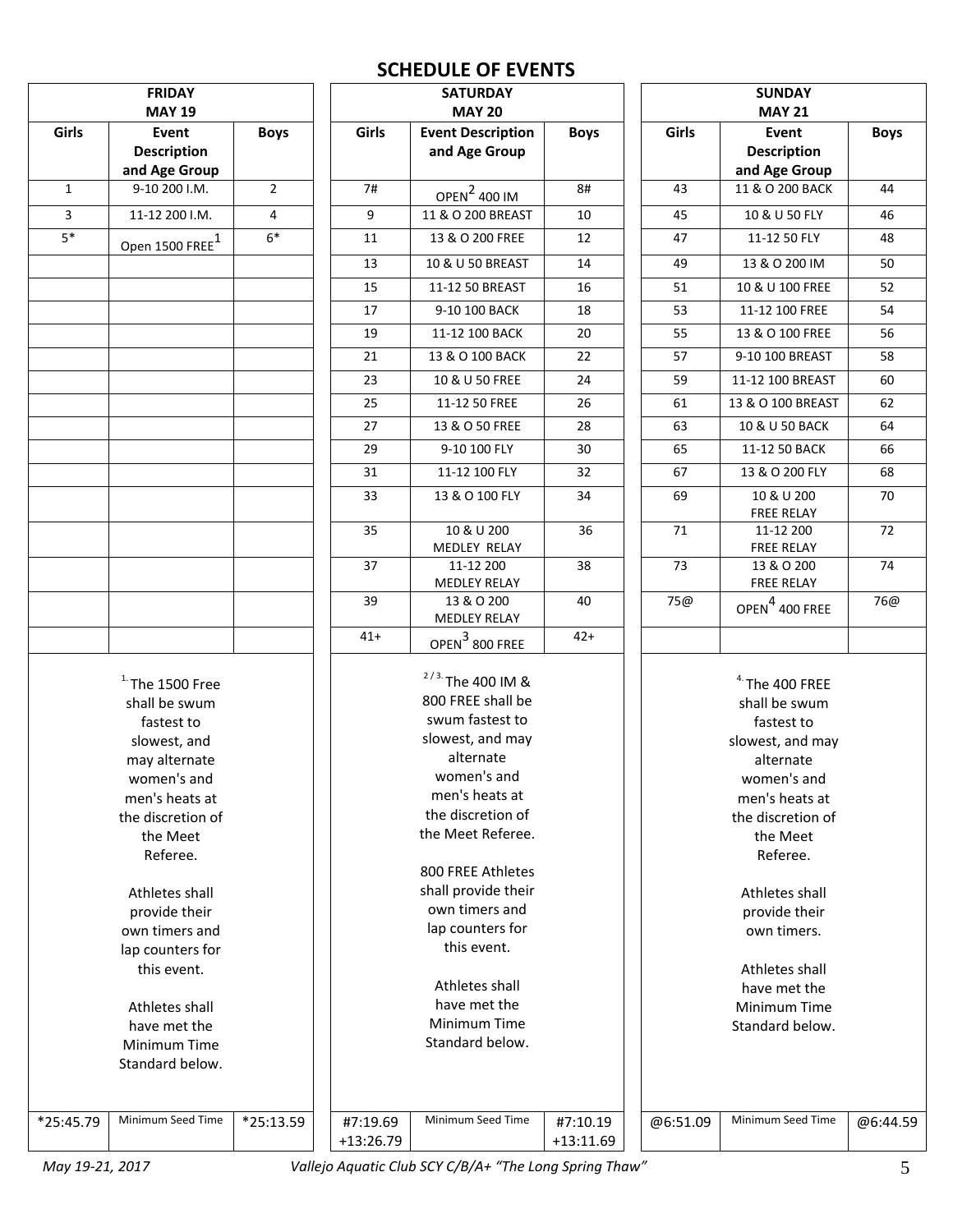# **SCHEDULE OF EVENTS**

|                               | <b>FRIDAY</b><br><b>MAY 19</b>      |                |           | <b>SATURDAY</b><br><b>MAY 20</b> |             | <b>SUNDAY</b><br><b>MAY 21</b> |                                 |          |
|-------------------------------|-------------------------------------|----------------|-----------|----------------------------------|-------------|--------------------------------|---------------------------------|----------|
| Girls<br>Event<br><b>Boys</b> |                                     |                | Girls     | <b>Event Description</b>         | Girls       | <b>Event</b><br><b>Boys</b>    |                                 |          |
|                               | <b>Description</b>                  |                |           | and Age Group                    | <b>Boys</b> |                                | <b>Description</b>              |          |
|                               | and Age Group                       |                |           |                                  |             |                                | and Age Group                   |          |
| $\mathbf{1}$                  | 9-10 200 I.M.                       | $\overline{2}$ | 7#        | <b>OPEN</b> <sup>2</sup> 400 IM  | 8#          | 43                             | 11 & O 200 BACK                 | 44       |
| $\overline{3}$                | 11-12 200 I.M.                      | 4              | 9         | 11 & O 200 BREAST                | 10          | 45                             | 10 & U 50 FLY                   | 46       |
| $5*$                          | Open 1500 FREE $^1$                 | $6*$           | 11        | 13 & O 200 FREE                  | 12          | 47                             | 11-12 50 FLY                    | 48       |
|                               |                                     |                | 13        | 10 & U 50 BREAST                 | 14          | 49                             | 13 & O 200 IM                   | 50       |
|                               |                                     |                | 15        | 11-12 50 BREAST                  | 16          | 51                             | 10 & U 100 FREE                 | 52       |
|                               |                                     |                | 17        | 9-10 100 BACK                    | 18          | 53                             | 11-12 100 FREE                  | 54       |
|                               |                                     |                | 19        | 11-12 100 BACK                   | 20          | 55                             | 13 & O 100 FREE                 | 56       |
|                               |                                     |                | 21        | 13 & O 100 BACK                  | 22          | 57                             | 9-10 100 BREAST                 | 58       |
|                               |                                     |                | 23        | 10 & U 50 FREE                   | 24          | 59                             | 11-12 100 BREAST                | 60       |
|                               |                                     |                | 25        | 11-12 50 FREE                    | 26          | 61                             | 13 & O 100 BREAST               | 62       |
|                               |                                     |                | 27        | 13 & O 50 FREE                   | 28          | 63                             | 10 & U 50 BACK                  | 64       |
|                               |                                     |                | 29        | 9-10 100 FLY                     | 30          | 65                             | 11-12 50 BACK                   | 66       |
|                               |                                     |                | 31        | 11-12 100 FLY                    | 32          | 67                             | 13 & O 200 FLY                  | 68       |
|                               |                                     |                | 33        | 13 & O 100 FLY                   | 34          | 69                             | 10 & U 200                      | 70       |
|                               |                                     |                |           |                                  |             |                                | <b>FREE RELAY</b>               |          |
|                               |                                     |                | 35        | 10 & U 200                       | 36          | 71                             | 11-12 200                       | 72       |
|                               |                                     |                | 37        | MEDLEY RELAY<br>11-12 200        | 38          | 73                             | <b>FREE RELAY</b><br>13 & O 200 | 74       |
|                               |                                     |                |           | MEDLEY RELAY                     |             |                                | <b>FREE RELAY</b>               |          |
|                               |                                     |                | 39        | 13 & O 200                       | 40          | 75@                            | OPEN <sup>4</sup> 400 FREE      | 76@      |
|                               |                                     |                |           | MEDLEY RELAY                     |             |                                |                                 |          |
|                               |                                     |                | $41+$     | OPEN $3$ 800 FREE                | $42+$       |                                |                                 |          |
|                               |                                     |                |           | $2/3$ . The 400 IM &             |             |                                |                                 |          |
|                               | $1.$ The 1500 Free<br>shall be swum |                |           | 800 FREE shall be                |             |                                | $4.$ The 400 FREE               |          |
|                               | fastest to                          |                |           | swum fastest to                  |             |                                | shall be swum<br>fastest to     |          |
|                               | slowest, and                        |                |           | slowest, and may                 |             |                                | slowest, and may                |          |
|                               | may alternate                       |                |           | alternate                        |             |                                | alternate                       |          |
|                               | women's and                         |                |           | women's and                      |             |                                | women's and                     |          |
|                               | men's heats at                      |                |           | men's heats at                   |             |                                | men's heats at                  |          |
|                               | the discretion of                   |                |           | the discretion of                |             |                                | the discretion of               |          |
|                               | the Meet                            |                |           | the Meet Referee.                |             |                                | the Meet                        |          |
|                               | Referee.                            |                |           |                                  |             |                                | Referee.                        |          |
|                               |                                     |                |           | 800 FREE Athletes                |             |                                |                                 |          |
|                               | Athletes shall                      |                |           | shall provide their              |             |                                | Athletes shall                  |          |
|                               | provide their                       |                |           | own timers and                   |             |                                | provide their                   |          |
|                               | own timers and                      |                |           | lap counters for                 |             |                                | own timers.                     |          |
|                               | lap counters for                    |                |           | this event.                      |             |                                |                                 |          |
|                               | this event.                         |                |           |                                  |             |                                | Athletes shall                  |          |
|                               |                                     |                |           | Athletes shall                   |             |                                | have met the                    |          |
|                               | Athletes shall                      |                |           | have met the                     |             |                                | Minimum Time                    |          |
|                               | have met the                        |                |           | Minimum Time                     |             |                                | Standard below.                 |          |
|                               | Minimum Time                        |                |           | Standard below.                  |             |                                |                                 |          |
|                               | Standard below.                     |                |           |                                  |             |                                |                                 |          |
|                               |                                     |                |           |                                  |             |                                |                                 |          |
| *25:45.79                     | Minimum Seed Time                   | *25:13.59      | #7:19.69  | Minimum Seed Time                | #7:10.19    | @6:51.09                       | Minimum Seed Time               | @6:44.59 |
|                               |                                     |                | +13:26.79 |                                  | $+13:11.69$ |                                |                                 |          |

*May 19-21, 2017 Vallejo Aquatic Club SCY C/B/A+ "The Long Spring Thaw"* 5